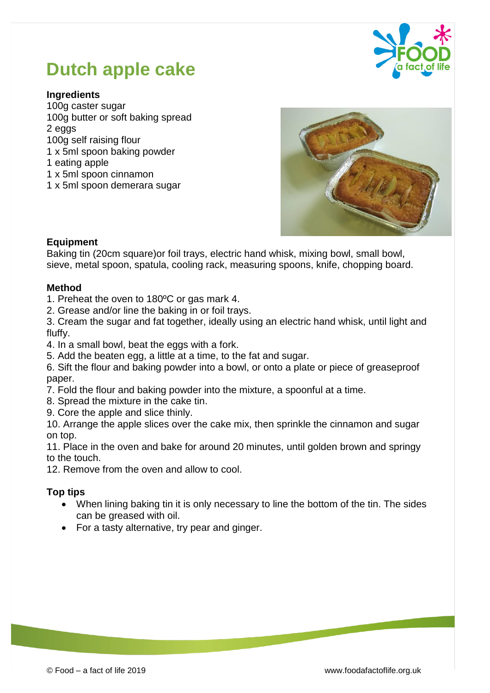

## **Ingredients**

100g caster sugar 100g butter or soft baking spread 2 eggs 100g self raising flour 1 x 5ml spoon baking powder 1 eating apple 1 x 5ml spoon cinnamon

1 x 5ml spoon demerara sugar



## **Equipment**

Baking tin (20cm square)or foil trays, electric hand whisk, mixing bowl, small bowl, sieve, metal spoon, spatula, cooling rack, measuring spoons, knife, chopping board.

## **Method**

1. Preheat the oven to 180ºC or gas mark 4.

2. Grease and/or line the baking in or foil trays.

3. Cream the sugar and fat together, ideally using an electric hand whisk, until light and fluffy.

4. In a small bowl, beat the eggs with a fork.

5. Add the beaten egg, a little at a time, to the fat and sugar.

6. Sift the flour and baking powder into a bowl, or onto a plate or piece of greaseproof paper.

7. Fold the flour and baking powder into the mixture, a spoonful at a time.

8. Spread the mixture in the cake tin.

9. Core the apple and slice thinly.

10. Arrange the apple slices over the cake mix, then sprinkle the cinnamon and sugar on top.

11. Place in the oven and bake for around 20 minutes, until golden brown and springy to the touch.

12. Remove from the oven and allow to cool.

## **Top tips**

- When lining baking tin it is only necessary to line the bottom of the tin. The sides can be greased with oil.
- For a tasty alternative, try pear and ginger.